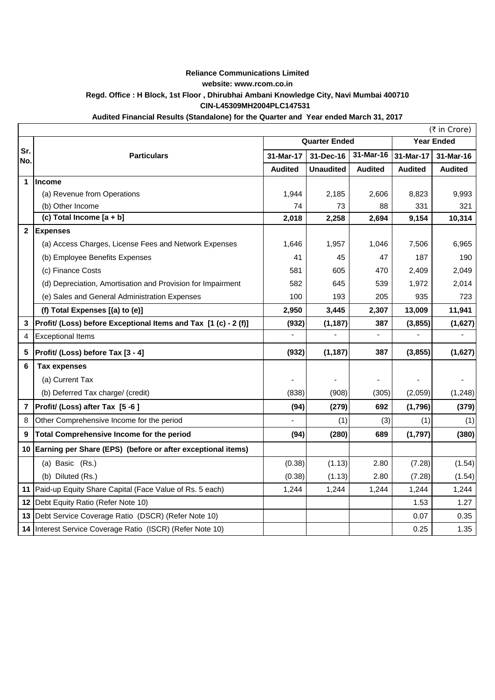## **Reliance Communications Limited website: www.rcom.co.in Regd. Office : H Block, 1st Floor , Dhirubhai Ambani Knowledge City, Navi Mumbai 400710 CIN-L45309MH2004PLC147531**

## **Audited Financial Results (Standalone) for the Quarter and Year ended March 31, 2017**

|                | (₹ in Crore)                                                    |                      |                  |                |                   |                |
|----------------|-----------------------------------------------------------------|----------------------|------------------|----------------|-------------------|----------------|
|                |                                                                 | <b>Quarter Ended</b> |                  |                | <b>Year Ended</b> |                |
| Sr.<br>No.     | <b>Particulars</b>                                              | 31-Mar-17            | 31-Dec-16        | 31-Mar-16      | 31-Mar-17         | 31-Mar-16      |
|                |                                                                 | <b>Audited</b>       | <b>Unaudited</b> | <b>Audited</b> | <b>Audited</b>    | <b>Audited</b> |
| $\mathbf{1}$   | <b>Income</b>                                                   |                      |                  |                |                   |                |
|                | (a) Revenue from Operations                                     | 1,944                | 2,185            | 2,606          | 8,823             | 9,993          |
|                | (b) Other Income                                                | 74                   | 73               | 88             | 331               | 321            |
|                | (c) Total Income [a + b]                                        | 2,018                | 2,258            | 2,694          | 9,154             | 10,314         |
| $\overline{2}$ | <b>Expenses</b>                                                 |                      |                  |                |                   |                |
|                | (a) Access Charges, License Fees and Network Expenses           | 1,646                | 1,957            | 1,046          | 7,506             | 6,965          |
|                | (b) Employee Benefits Expenses                                  | 41                   | 45               | 47             | 187               | 190            |
|                | (c) Finance Costs                                               | 581                  | 605              | 470            | 2,409             | 2,049          |
|                | (d) Depreciation, Amortisation and Provision for Impairment     | 582                  | 645              | 539            | 1,972             | 2,014          |
|                | (e) Sales and General Administration Expenses                   | 100                  | 193              | 205            | 935               | 723            |
|                | (f) Total Expenses [(a) to (e)]                                 | 2,950                | 3,445            | 2,307          | 13,009            | 11,941         |
| $\mathbf{3}$   | Profit/ (Loss) before Exceptional Items and Tax [1 (c) - 2 (f)] | (932)                | (1, 187)         | 387            | (3, 855)          | (1,627)        |
| $\overline{4}$ | <b>Exceptional Items</b>                                        | $\blacksquare$       | ÷,               | $\blacksquare$ | $\blacksquare$    | $\blacksquare$ |
| 5              | Profit/ (Loss) before Tax [3 - 4]                               | (932)                | (1, 187)         | 387            | (3,855)           | (1,627)        |
| 6              | <b>Tax expenses</b>                                             |                      |                  |                |                   |                |
|                | (a) Current Tax                                                 |                      |                  |                |                   |                |
|                | (b) Deferred Tax charge/ (credit)                               | (838)                | (908)            | (305)          | (2,059)           | (1, 248)       |
| $\overline{7}$ | Profit/ (Loss) after Tax [5 -6]                                 | (94)                 | (279)            | 692            | (1,796)           | (379)          |
| 8              | Other Comprehensive Income for the period                       |                      | (1)              | (3)            | (1)               | (1)            |
| 9              | Total Comprehensive Income for the period                       | (94)                 | (280)            | 689            | (1,797)           | (380)          |
|                | 10 Earning per Share (EPS) (before or after exceptional items)  |                      |                  |                |                   |                |
|                | (a) Basic (Rs.)                                                 | (0.38)               | (1.13)           | 2.80           | (7.28)            | (1.54)         |
|                | (b) Diluted (Rs.)                                               | (0.38)               | (1.13)           | 2.80           | (7.28)            | (1.54)         |
|                | 11 Paid-up Equity Share Capital (Face Value of Rs. 5 each)      | 1,244                | 1,244            | 1,244          | 1,244             | 1,244          |
|                | 12 Debt Equity Ratio (Refer Note 10)                            |                      |                  |                | 1.53              | 1.27           |
|                | 13 Debt Service Coverage Ratio (DSCR) (Refer Note 10)           |                      |                  |                | 0.07              | 0.35           |
|                | 14 Interest Service Coverage Ratio (ISCR) (Refer Note 10)       |                      |                  |                | 0.25              | 1.35           |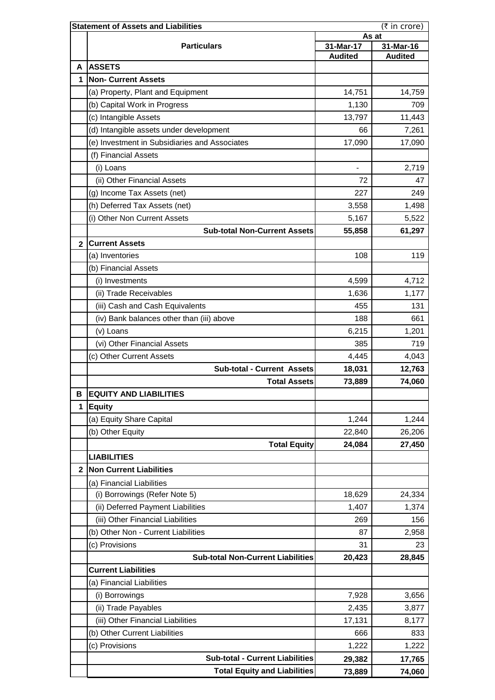|                | <b>Statement of Assets and Liabilities</b><br>(₹ in crore)    |                    |                             |  |  |  |
|----------------|---------------------------------------------------------------|--------------------|-----------------------------|--|--|--|
|                |                                                               | As at<br>31-Mar-17 |                             |  |  |  |
|                | <b>Particulars</b>                                            | <b>Audited</b>     | 31-Mar-16<br><b>Audited</b> |  |  |  |
| А              | <b>ASSETS</b>                                                 |                    |                             |  |  |  |
| 1              | <b>Non- Current Assets</b>                                    |                    |                             |  |  |  |
|                | (a) Property, Plant and Equipment                             | 14,751             | 14,759                      |  |  |  |
|                | (b) Capital Work in Progress                                  | 1,130              | 709                         |  |  |  |
|                | (c) Intangible Assets                                         | 13,797             | 11,443                      |  |  |  |
|                | (d) Intangible assets under development                       | 66                 | 7,261                       |  |  |  |
|                | (e) Investment in Subsidiaries and Associates                 | 17,090             | 17,090                      |  |  |  |
|                | (f) Financial Assets                                          |                    |                             |  |  |  |
|                | (i) Loans                                                     | $\blacksquare$     | 2,719                       |  |  |  |
|                | (ii) Other Financial Assets                                   | 72                 | 47                          |  |  |  |
|                | (g) Income Tax Assets (net)                                   | 227                | 249                         |  |  |  |
|                | (h) Deferred Tax Assets (net)                                 | 3,558              | 1,498                       |  |  |  |
|                | (i) Other Non Current Assets                                  | 5,167              | 5,522                       |  |  |  |
|                | <b>Sub-total Non-Current Assets</b>                           | 55,858             | 61,297                      |  |  |  |
| $\mathbf{2}$   | <b>Current Assets</b>                                         |                    |                             |  |  |  |
|                | (a) Inventories                                               | 108                | 119                         |  |  |  |
|                | (b) Financial Assets                                          |                    |                             |  |  |  |
|                | (i) Investments                                               | 4,599              | 4,712                       |  |  |  |
|                | (ii) Trade Receivables                                        | 1,636              | 1,177                       |  |  |  |
|                | (iii) Cash and Cash Equivalents                               | 455                | 131                         |  |  |  |
|                |                                                               | 188                | 661                         |  |  |  |
|                | (iv) Bank balances other than (iii) above                     |                    |                             |  |  |  |
|                | (v) Loans<br>(vi) Other Financial Assets                      | 6,215<br>385       | 1,201<br>719                |  |  |  |
|                |                                                               |                    |                             |  |  |  |
|                | (c) Other Current Assets<br><b>Sub-total - Current Assets</b> | 4,445              | 4,043                       |  |  |  |
|                |                                                               | 18,031             | 12,763                      |  |  |  |
| В              | <b>Total Assets</b><br><b>EQUITY AND LIABILITIES</b>          | 73,889             | 74,060                      |  |  |  |
| 1              | <b>Equity</b>                                                 |                    |                             |  |  |  |
|                | (a) Equity Share Capital                                      | 1,244              | 1,244                       |  |  |  |
|                | (b) Other Equity                                              |                    | 26,206                      |  |  |  |
|                |                                                               | 22,840             |                             |  |  |  |
|                | <b>Total Equity</b>                                           | 24,084             | 27,450                      |  |  |  |
| $\overline{2}$ | <b>LIABILITIES</b>                                            |                    |                             |  |  |  |
|                | <b>Non Current Liabilities</b>                                |                    |                             |  |  |  |
|                | (a) Financial Liabilities                                     |                    |                             |  |  |  |
|                | (i) Borrowings (Refer Note 5)                                 | 18,629             | 24,334                      |  |  |  |
|                | (ii) Deferred Payment Liabilities                             | 1,407              | 1,374                       |  |  |  |
|                | (iii) Other Financial Liabilities                             | 269                | 156                         |  |  |  |
|                | (b) Other Non - Current Liabilities                           | 87                 | 2,958                       |  |  |  |
|                | (c) Provisions                                                | 31                 | 23                          |  |  |  |
|                | <b>Sub-total Non-Current Liabilities</b>                      | 20,423             | 28,845                      |  |  |  |
|                | <b>Current Liabilities</b>                                    |                    |                             |  |  |  |
|                | (a) Financial Liabilities                                     |                    |                             |  |  |  |
|                | (i) Borrowings                                                | 7,928              | 3,656                       |  |  |  |
|                | (ii) Trade Payables                                           | 2,435              | 3,877                       |  |  |  |
|                | (iii) Other Financial Liabilities                             | 17,131             | 8,177                       |  |  |  |
|                | (b) Other Current Liabilities                                 | 666                | 833                         |  |  |  |
|                | (c) Provisions                                                | 1,222              | 1,222                       |  |  |  |
|                | <b>Sub-total - Current Liabilities</b>                        | 29,382             | 17,765                      |  |  |  |
|                | <b>Total Equity and Liabilities</b>                           | 73,889             | 74,060                      |  |  |  |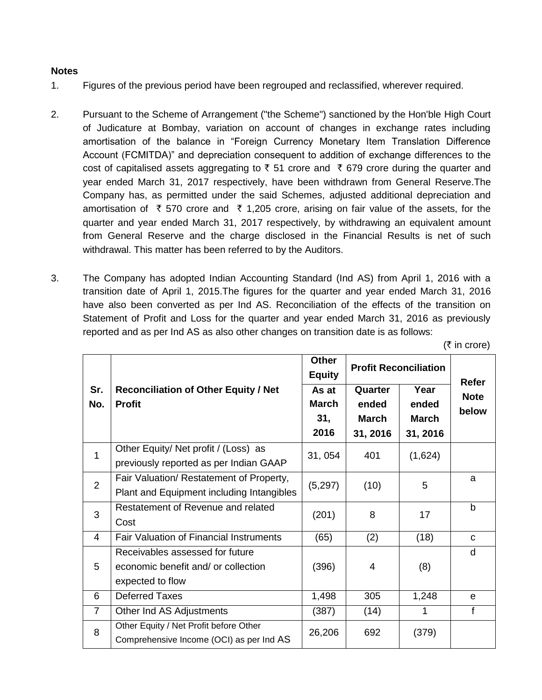## **Notes**

- 1. Figures of the previous period have been regrouped and reclassified, wherever required.
- 2. Pursuant to the Scheme of Arrangement ("the Scheme") sanctioned by the Hon'ble High Court of Judicature at Bombay, variation on account of changes in exchange rates including amortisation of the balance in "Foreign Currency Monetary Item Translation Difference Account (FCMITDA)" and depreciation consequent to addition of exchange differences to the cost of capitalised assets aggregating to  $\bar{\tau}$  51 crore and  $\bar{\tau}$  679 crore during the quarter and year ended March 31, 2017 respectively, have been withdrawn from General Reserve.The Company has, as permitted under the said Schemes, adjusted additional depreciation and amortisation of  $\bar{\tau}$  570 crore and  $\bar{\tau}$  1,205 crore, arising on fair value of the assets, for the quarter and year ended March 31, 2017 respectively, by withdrawing an equivalent amount from General Reserve and the charge disclosed in the Financial Results is net of such withdrawal. This matter has been referred to by the Auditors.
- 3. The Company has adopted Indian Accounting Standard (Ind AS) from April 1, 2016 with a transition date of April 1, 2015.The figures for the quarter and year ended March 31, 2016 have also been converted as per Ind AS. Reconciliation of the effects of the transition on Statement of Profit and Loss for the quarter and year ended March 31, 2016 as previously reported and as per Ind AS as also other changes on transition date is as follows:

|                |                                                                                            | <b>Other</b><br><b>Equity</b>        | <b>Profit Reconciliation</b>                 |                                           | Refer                |
|----------------|--------------------------------------------------------------------------------------------|--------------------------------------|----------------------------------------------|-------------------------------------------|----------------------|
| Sr.<br>No.     | <b>Reconciliation of Other Equity / Net</b><br><b>Profit</b>                               | As at<br><b>March</b><br>31,<br>2016 | Quarter<br>ended<br><b>March</b><br>31, 2016 | Year<br>ended<br><b>March</b><br>31, 2016 | <b>Note</b><br>below |
| 1              | Other Equity/ Net profit / (Loss) as<br>previously reported as per Indian GAAP             | 31, 054                              | 401                                          | (1,624)                                   |                      |
| 2              | Fair Valuation/ Restatement of Property,<br>Plant and Equipment including Intangibles      | (5,297)                              | (10)                                         | 5                                         | a                    |
| 3              | Restatement of Revenue and related<br>Cost                                                 | (201)                                | 8                                            | 17                                        | $\mathsf b$          |
| 4              | Fair Valuation of Financial Instruments                                                    | (65)                                 | (2)                                          | (18)                                      | C                    |
| 5              | Receivables assessed for future<br>economic benefit and/ or collection<br>expected to flow | (396)                                | 4                                            | (8)                                       | d                    |
| 6              | <b>Deferred Taxes</b>                                                                      | 1,498                                | 305                                          | 1,248                                     | $\mathbf{e}$         |
| $\overline{7}$ | Other Ind AS Adjustments                                                                   | (387)                                | (14)                                         |                                           | f                    |
| 8              | Other Equity / Net Profit before Other<br>Comprehensive Income (OCI) as per Ind AS         | 26,206                               | 692                                          | (379)                                     |                      |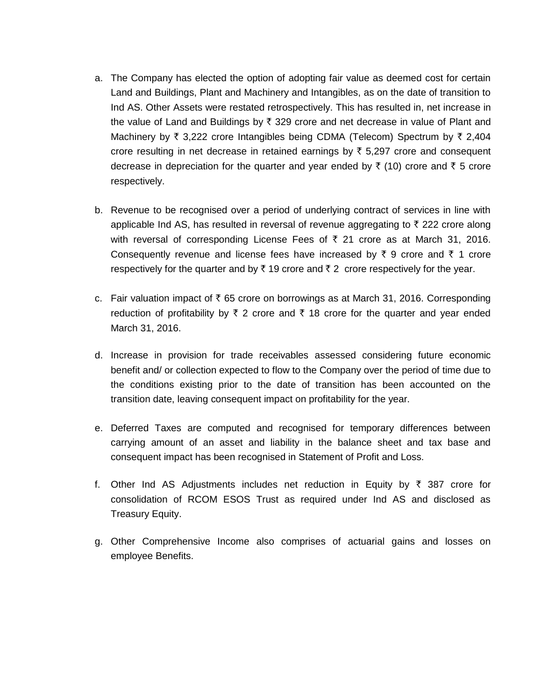- a. The Company has elected the option of adopting fair value as deemed cost for certain Land and Buildings, Plant and Machinery and Intangibles, as on the date of transition to Ind AS. Other Assets were restated retrospectively. This has resulted in, net increase in the value of Land and Buildings by  $\bar{x}$  329 crore and net decrease in value of Plant and Machinery by  $\bar{\tau}$  3,222 crore Intangibles being CDMA (Telecom) Spectrum by  $\bar{\tau}$  2,404 crore resulting in net decrease in retained earnings by  $\bar{\tau}$  5,297 crore and consequent decrease in depreciation for the quarter and year ended by  $\bar{\tau}$  (10) crore and  $\bar{\tau}$  5 crore respectively.
- b. Revenue to be recognised over a period of underlying contract of services in line with applicable Ind AS, has resulted in reversal of revenue aggregating to  $\bar{\tau}$  222 crore along with reversal of corresponding License Fees of  $\bar{\tau}$  21 crore as at March 31, 2016. Consequently revenue and license fees have increased by  $\bar{\tau}$  9 crore and  $\bar{\tau}$  1 crore respectively for the quarter and by  $\bar{\tau}$  19 crore and  $\bar{\tau}$  2 crore respectively for the year.
- c. Fair valuation impact of  $\bar{\tau}$  65 crore on borrowings as at March 31, 2016. Corresponding reduction of profitability by  $\bar{\tau}$  2 crore and  $\bar{\tau}$  18 crore for the quarter and year ended March 31, 2016.
- d. Increase in provision for trade receivables assessed considering future economic benefit and/ or collection expected to flow to the Company over the period of time due to the conditions existing prior to the date of transition has been accounted on the transition date, leaving consequent impact on profitability for the year.
- e. Deferred Taxes are computed and recognised for temporary differences between carrying amount of an asset and liability in the balance sheet and tax base and consequent impact has been recognised in Statement of Profit and Loss.
- f. Other Ind AS Adjustments includes net reduction in Equity by  $\bar{\tau}$  387 crore for consolidation of RCOM ESOS Trust as required under Ind AS and disclosed as Treasury Equity.
- g. Other Comprehensive Income also comprises of actuarial gains and losses on employee Benefits.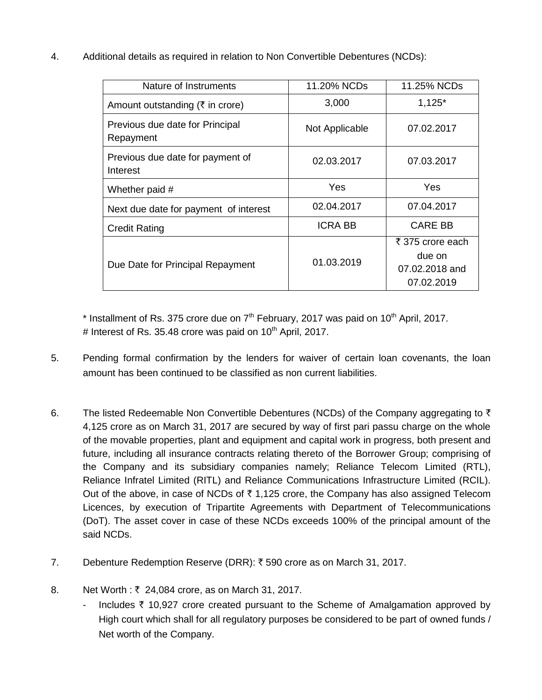4. Additional details as required in relation to Non Convertible Debentures (NCDs):

| Nature of Instruments                        | 11.20% NCDs    | 11.25% NCDs                                                |
|----------------------------------------------|----------------|------------------------------------------------------------|
| Amount outstanding ( $\bar{\tau}$ in crore)  | 3,000          | $1,125*$                                                   |
| Previous due date for Principal<br>Repayment | Not Applicable | 07.02.2017                                                 |
| Previous due date for payment of<br>Interest | 02.03.2017     | 07.03.2017                                                 |
| Whether paid #                               | Yes            | <b>Yes</b>                                                 |
| Next due date for payment of interest        | 02.04.2017     | 07.04.2017                                                 |
| <b>Credit Rating</b>                         | <b>ICRA BB</b> | <b>CARE BB</b>                                             |
| Due Date for Principal Repayment             | 01.03.2019     | ₹ 375 crore each<br>due on<br>07.02.2018 and<br>07.02.2019 |

 $*$  Installment of Rs. 375 crore due on  $7<sup>th</sup>$  February, 2017 was paid on 10<sup>th</sup> April, 2017. # Interest of Rs. 35.48 crore was paid on  $10^{th}$  April, 2017.

- 5. Pending formal confirmation by the lenders for waiver of certain loan covenants, the loan amount has been continued to be classified as non current liabilities.
- 6. The listed Redeemable Non Convertible Debentures (NCDs) of the Company aggregating to  $\bar{\tau}$ 4,125 crore as on March 31, 2017 are secured by way of first pari passu charge on the whole of the movable properties, plant and equipment and capital work in progress, both present and future, including all insurance contracts relating thereto of the Borrower Group; comprising of the Company and its subsidiary companies namely; Reliance Telecom Limited (RTL), Reliance Infratel Limited (RITL) and Reliance Communications Infrastructure Limited (RCIL). Out of the above, in case of NCDs of  $\bar{\tau}$  1,125 crore, the Company has also assigned Telecom Licences, by execution of Tripartite Agreements with Department of Telecommunications (DoT). The asset cover in case of these NCDs exceeds 100% of the principal amount of the said NCDs.
- 7. Debenture Redemption Reserve (DRR):  $\bar{\tau}$  590 crore as on March 31, 2017.
- 8. Net Worth : ₹ 24,084 crore, as on March 31, 2017.
	- Includes  $\bar{\tau}$  10,927 crore created pursuant to the Scheme of Amalgamation approved by High court which shall for all regulatory purposes be considered to be part of owned funds / Net worth of the Company.